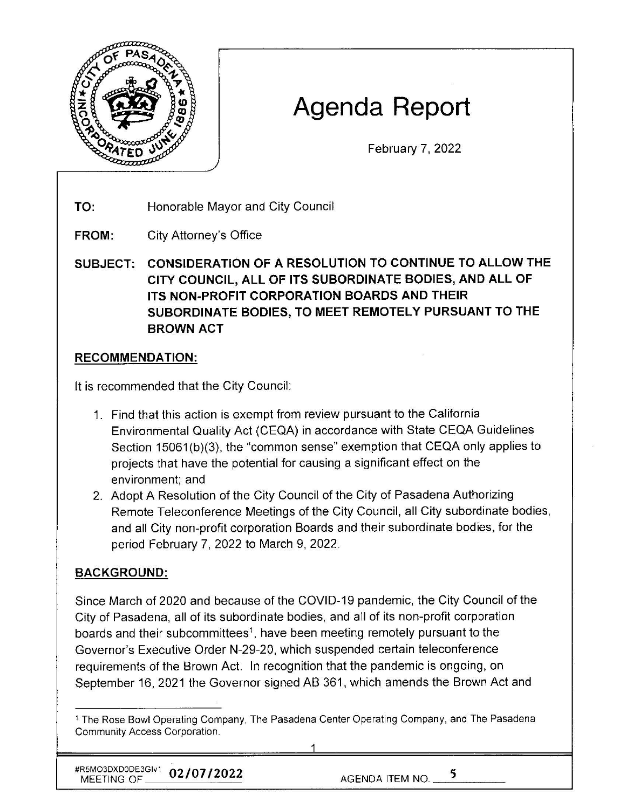

# **Agenda Report**

February 7, 2022

**TO:**  Honorable Mayor and City Council

**FROM:**  City Attorney's Office

**SUBJECT: CONSIDERATION OF A RESOLUTION TO CONTINUE TO ALLOW THE CITY COUNCIL, ALL OF ITS SUBORDINATE BODIES, AND ALL OF ITS NON-PROFIT CORPORATION BOARDS AND THEIR SUBORDINATE BODIES, TO MEET REMOTELY PURSUANT TO THE BROWN ACT** 

## **RECOMMENDATION:**

It is recommended that the City Council:

- 1. Find that this action is exempt from review pursuant to the California Environmental Quality Act (CEQA) in accordance with State CEQA Guidelines Section 15061(b)(3), the "common sense" exemption that CEQA only applies to projects that have the potential for causing a significant effect on the environment; and
- 2. Adopt A Resolution of the City Council of the City of Pasadena Authorizing Remote Teleconference Meetings of the City Council, all City subordinate bodies, and all City non-profit corporation Boards and their subordinate bodies, for the period February 7, 2022 to March 9, 2022.

# **BACKGROUND:**

Since March of 2020 and because of the COVID-19 pandemic, the City Council of the City of Pasadena, all of its subordinate bodies, and all of its non-profit corporation boards and their subcommittees<sup>1</sup>, have been meeting remotely pursuant to the Governor's Executive Order N-29-20, which suspended certain teleconference requirements of the Brown Act. In recognition that the pandemic is ongoing, on September 16, 2021 the Governor signed AB 361, which amends the Brown Act and

1

<sup>1</sup>The Rose Bowl Operating Company, The Pasadena Center Operating Company, and The Pasadena Community Access Corporation.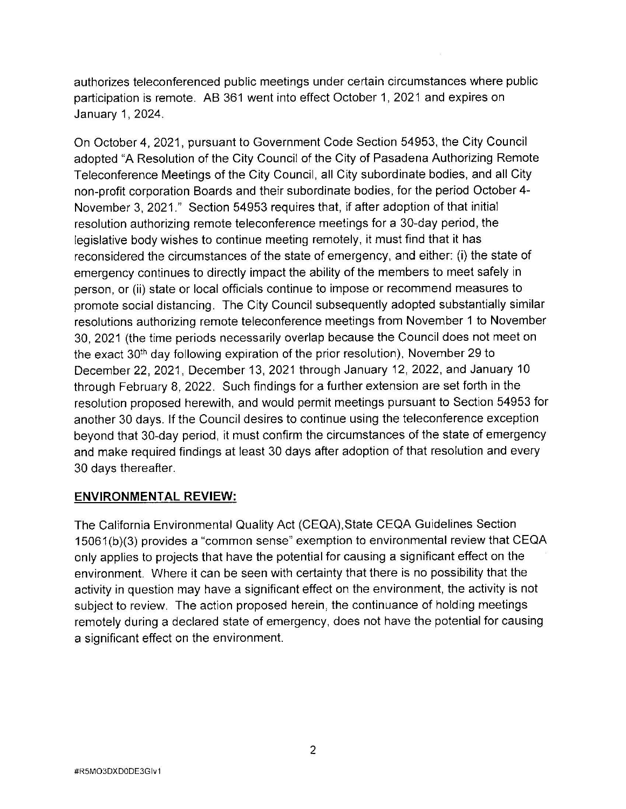authorizes teleconferenced public meetings under certain circumstances where public participation is remote. AB 361 went into effect October 1, 2021 and expires on January 1, 2024.

On October 4, 2021, pursuant to Government Code Section 54953, the City Council adopted "A Resolution of the City Council of the City of Pasadena Authorizing Remote Teleconference Meetings of the City Council, all City subordinate bodies, and all City non-profit corporation Boards and their subordinate bodies, for the period October 4- November 3, 2021." Section 54953 requires that, if after adoption of that initial resolution authorizing remote teleconference meetings for a 30-day period, the legislative body wishes to continue meeting remotely, it must find that it has reconsidered the circumstances of the state of emergency, and either: (i) the state of emergency continues to directly impact the ability of the members to meet safely in person, or (ii) state or local officials continue to impose or recommend measures to promote social distancing. The City Council subsequently adopted substantially similar resolutions authorizing remote teleconference meetings from November 1 to November 30, 2021 (the time periods necessarily overlap because the Council does not meet on the exact 30th day following expiration of the prior resolution), November 29 to December 22, 2021, December 13, 2021 through January 12, 2022, and January 10 through February 8, 2022. Such findings for a further extension are set forth in the resolution proposed herewith, and would permit meetings pursuant to Section 54953 for another 30 days. If the Council desires to continue using the teleconference exception beyond that 30-day period, it must confirm the circumstances of the state of emergency and make required findings at least 30 days after adoption of that resolution and every 30 days thereafter.

#### **ENVIRONMENTAL REVIEW:**

The California Environmental Quality Act (CEQA),State CEQA Guidelines Section 15061 (b)(3) provides a "common sense" exemption to environmental review that CEQA only applies to projects that have the potential for causing a significant effect on the environment. Where it can be seen with certainty that there is no possibility that the activity in question may have a significant effect on the environment, the activity is not subject to review. The action proposed herein, the continuance of holding meetings remotely during a declared state of emergency, does not have the potential for causing a significant effect on the environment.